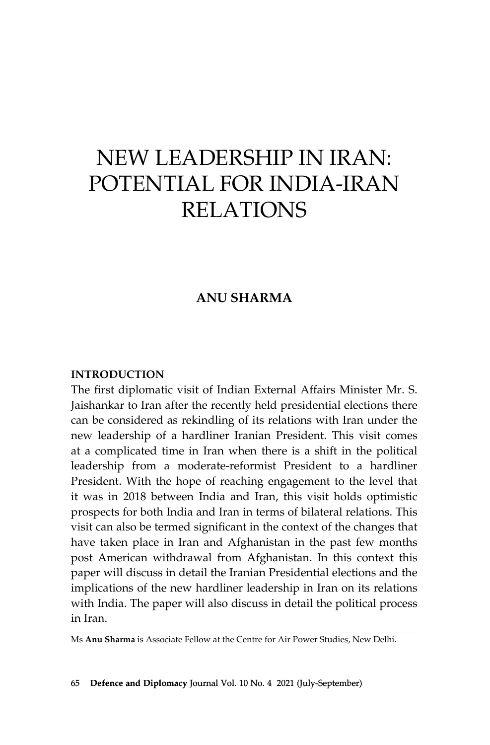# New Leadership in Iran: Potential for India-Iran **RELATIONS**

## **Anu Sharma**

#### **Introduction**

The first diplomatic visit of Indian External Affairs Minister Mr. S. Jaishankar to Iran after the recently held presidential elections there can be considered as rekindling of its relations with Iran under the new leadership of a hardliner Iranian President. This visit comes at a complicated time in Iran when there is a shift in the political leadership from a moderate-reformist President to a hardliner President. With the hope of reaching engagement to the level that it was in 2018 between India and Iran, this visit holds optimistic prospects for both India and Iran in terms of bilateral relations. This visit can also be termed significant in the context of the changes that have taken place in Iran and Afghanistan in the past few months post American withdrawal from Afghanistan. In this context this paper will discuss in detail the Iranian Presidential elections and the implications of the new hardliner leadership in Iran on its relations with India. The paper will also discuss in detail the political process in Iran.

Ms **Anu Sharma** is Associate Fellow at the Centre for Air Power Studies, New Delhi.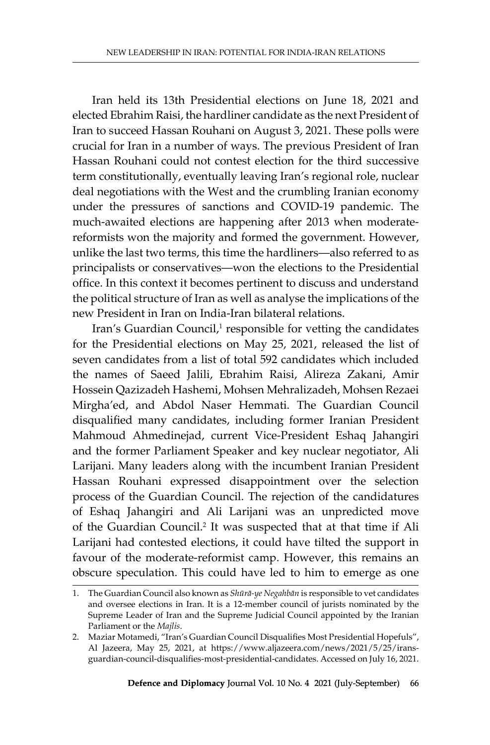Iran held its 13th Presidential elections on June 18, 2021 and elected Ebrahim Raisi, the hardliner candidate as the next President of Iran to succeed Hassan Rouhani on August 3, 2021. These polls were crucial for Iran in a number of ways. The previous President of Iran Hassan Rouhani could not contest election for the third successive term constitutionally, eventually leaving Iran's regional role, nuclear deal negotiations with the West and the crumbling Iranian economy under the pressures of sanctions and COVID-19 pandemic. The much-awaited elections are happening after 2013 when moderatereformists won the majority and formed the government. However, unlike the last two terms, this time the hardliners—also referred to as principalists or conservatives—won the elections to the Presidential office. In this context it becomes pertinent to discuss and understand the political structure of Iran as well as analyse the implications of the new President in Iran on India-Iran bilateral relations.

Iran's Guardian Council,<sup>1</sup> responsible for vetting the candidates for the Presidential elections on May 25, 2021, released the list of seven candidates from a list of total 592 candidates which included the names of Saeed Jalili, Ebrahim Raisi, Alireza Zakani, Amir Hossein Qazizadeh Hashemi, Mohsen Mehralizadeh, Mohsen Rezaei Mirgha'ed, and Abdol Naser Hemmati. The Guardian Council disqualified many candidates, including former Iranian President Mahmoud Ahmedinejad, current Vice-President Eshaq Jahangiri and the former Parliament Speaker and key nuclear negotiator, Ali Larijani. Many leaders along with the incumbent Iranian President Hassan Rouhani expressed disappointment over the selection process of the Guardian Council. The rejection of the candidatures of Eshaq Jahangiri and Ali Larijani was an unpredicted move of the Guardian Council.<sup>2</sup> It was suspected that at that time if Ali Larijani had contested elections, it could have tilted the support in favour of the moderate-reformist camp. However, this remains an obscure speculation. This could have led to him to emerge as one

<sup>1.</sup> The Guardian Council also known as *Shūrā-ye Negahbān* is responsible to vet candidates and oversee elections in Iran. It is a 12-member council of jurists nominated by the Supreme Leader of Iran and the Supreme Judicial Council appointed by the Iranian Parliament or the *Majlis*.

<sup>2.</sup> Maziar Motamedi, "Iran's Guardian Council Disqualifies Most Presidential Hopefuls", Al Jazeera, May 25, 2021, at https://www.aljazeera.com/news/2021/5/25/iransguardian-council-disqualifies-most-presidential-candidates. Accessed on July 16, 2021.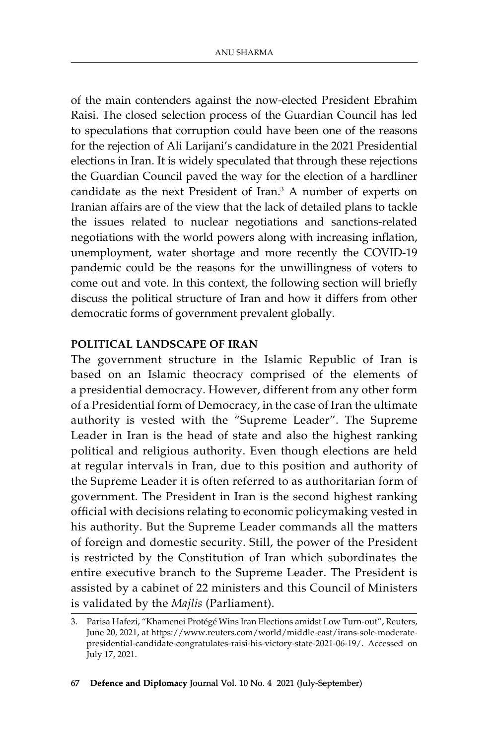of the main contenders against the now-elected President Ebrahim Raisi. The closed selection process of the Guardian Council has led to speculations that corruption could have been one of the reasons for the rejection of Ali Larijani's candidature in the 2021 Presidential elections in Iran. It is widely speculated that through these rejections the Guardian Council paved the way for the election of a hardliner candidate as the next President of Iran.<sup>3</sup> A number of experts on Iranian affairs are of the view that the lack of detailed plans to tackle the issues related to nuclear negotiations and sanctions-related negotiations with the world powers along with increasing inflation, unemployment, water shortage and more recently the COVID-19 pandemic could be the reasons for the unwillingness of voters to come out and vote. In this context, the following section will briefly discuss the political structure of Iran and how it differs from other democratic forms of government prevalent globally.

#### **Political Landscape of Iran**

The government structure in the Islamic Republic of Iran is based on an Islamic theocracy comprised of the elements of a presidential democracy. However, different from any other form of a Presidential form of Democracy, in the case of Iran the ultimate authority is vested with the "Supreme Leader". The Supreme Leader in Iran is the head of state and also the highest ranking political and religious authority. Even though elections are held at regular intervals in Iran, due to this position and authority of the Supreme Leader it is often referred to as authoritarian form of government. The President in Iran is the second highest ranking official with decisions relating to economic policymaking vested in his authority. But the Supreme Leader commands all the matters of foreign and domestic security. Still, the power of the President is restricted by the Constitution of Iran which subordinates the entire executive branch to the Supreme Leader. The President is assisted by a cabinet of 22 ministers and this Council of Ministers is validated by the *Majlis* (Parliament).

<sup>3.</sup> Parisa Hafezi, "Khamenei Protégé Wins Iran Elections amidst Low Turn-out", Reuters, June 20, 2021, at https://www.reuters.com/world/middle-east/irans-sole-moderatepresidential-candidate-congratulates-raisi-his-victory-state-2021-06-19/. Accessed on July 17, 2021.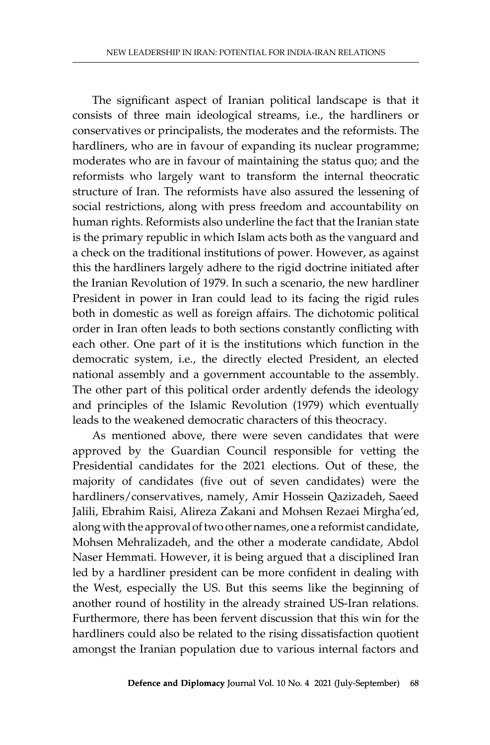The significant aspect of Iranian political landscape is that it consists of three main ideological streams, i.e., the hardliners or conservatives or principalists, the moderates and the reformists. The hardliners, who are in favour of expanding its nuclear programme; moderates who are in favour of maintaining the status quo; and the reformists who largely want to transform the internal theocratic structure of Iran. The reformists have also assured the lessening of social restrictions, along with press freedom and accountability on human rights. Reformists also underline the fact that the Iranian state is the primary republic in which Islam acts both as the vanguard and a check on the traditional institutions of power. However, as against this the hardliners largely adhere to the rigid doctrine initiated after the Iranian Revolution of 1979. In such a scenario, the new hardliner President in power in Iran could lead to its facing the rigid rules both in domestic as well as foreign affairs. The dichotomic political order in Iran often leads to both sections constantly conflicting with each other. One part of it is the institutions which function in the democratic system, i.e., the directly elected President, an elected national assembly and a government accountable to the assembly. The other part of this political order ardently defends the ideology and principles of the Islamic Revolution (1979) which eventually leads to the weakened democratic characters of this theocracy.

As mentioned above, there were seven candidates that were approved by the Guardian Council responsible for vetting the Presidential candidates for the 2021 elections. Out of these, the majority of candidates (five out of seven candidates) were the hardliners/conservatives, namely, Amir Hossein Qazizadeh, Saeed Jalili, Ebrahim Raisi, Alireza Zakani and Mohsen Rezaei Mirgha'ed, along with the approval of two other names, one a reformist candidate, Mohsen Mehralizadeh, and the other a moderate candidate, Abdol Naser Hemmati. However, it is being argued that a disciplined Iran led by a hardliner president can be more confident in dealing with the West, especially the US. But this seems like the beginning of another round of hostility in the already strained US-Iran relations. Furthermore, there has been fervent discussion that this win for the hardliners could also be related to the rising dissatisfaction quotient amongst the Iranian population due to various internal factors and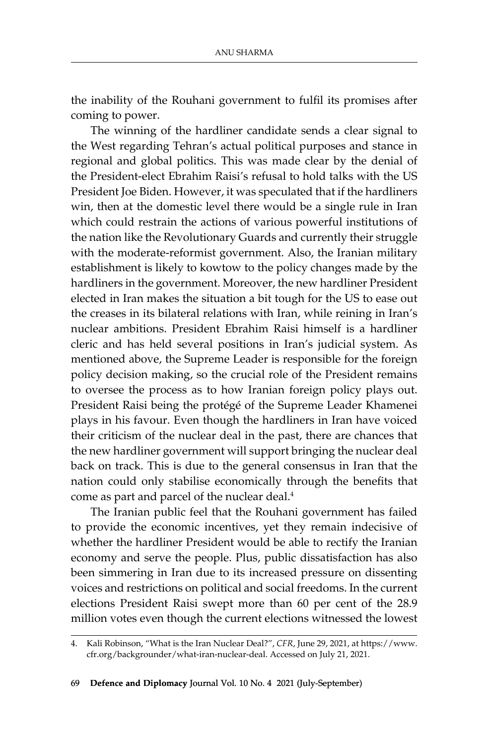the inability of the Rouhani government to fulfil its promises after coming to power.

The winning of the hardliner candidate sends a clear signal to the West regarding Tehran's actual political purposes and stance in regional and global politics. This was made clear by the denial of the President-elect Ebrahim Raisi's refusal to hold talks with the US President Joe Biden. However, it was speculated that if the hardliners win, then at the domestic level there would be a single rule in Iran which could restrain the actions of various powerful institutions of the nation like the Revolutionary Guards and currently their struggle with the moderate-reformist government. Also, the Iranian military establishment is likely to kowtow to the policy changes made by the hardliners in the government. Moreover, the new hardliner President elected in Iran makes the situation a bit tough for the US to ease out the creases in its bilateral relations with Iran, while reining in Iran's nuclear ambitions. President Ebrahim Raisi himself is a hardliner cleric and has held several positions in Iran's judicial system. As mentioned above, the Supreme Leader is responsible for the foreign policy decision making, so the crucial role of the President remains to oversee the process as to how Iranian foreign policy plays out. President Raisi being the protégé of the Supreme Leader Khamenei plays in his favour. Even though the hardliners in Iran have voiced their criticism of the nuclear deal in the past, there are chances that the new hardliner government will support bringing the nuclear deal back on track. This is due to the general consensus in Iran that the nation could only stabilise economically through the benefits that come as part and parcel of the nuclear deal.<sup>4</sup>

The Iranian public feel that the Rouhani government has failed to provide the economic incentives, yet they remain indecisive of whether the hardliner President would be able to rectify the Iranian economy and serve the people. Plus, public dissatisfaction has also been simmering in Iran due to its increased pressure on dissenting voices and restrictions on political and social freedoms. In the current elections President Raisi swept more than 60 per cent of the 28.9 million votes even though the current elections witnessed the lowest

<sup>4.</sup> Kali Robinson, "What is the Iran Nuclear Deal?", *CFR*, June 29, 2021, at https://www. cfr.org/backgrounder/what-iran-nuclear-deal. Accessed on July 21, 2021.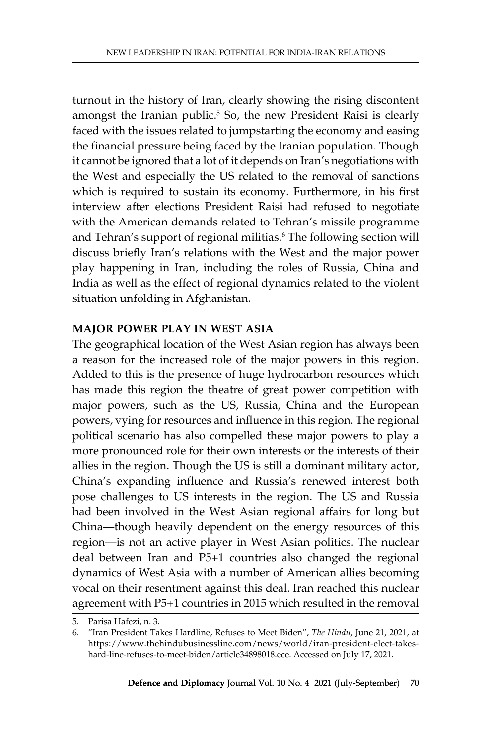turnout in the history of Iran, clearly showing the rising discontent amongst the Iranian public.<sup>5</sup> So, the new President Raisi is clearly faced with the issues related to jumpstarting the economy and easing the financial pressure being faced by the Iranian population. Though it cannot be ignored that a lot of it depends on Iran's negotiations with the West and especially the US related to the removal of sanctions which is required to sustain its economy. Furthermore, in his first interview after elections President Raisi had refused to negotiate with the American demands related to Tehran's missile programme and Tehran's support of regional militias.<sup>6</sup> The following section will discuss briefly Iran's relations with the West and the major power play happening in Iran, including the roles of Russia, China and India as well as the effect of regional dynamics related to the violent situation unfolding in Afghanistan.

#### **Major Power Play in West Asia**

The geographical location of the West Asian region has always been a reason for the increased role of the major powers in this region. Added to this is the presence of huge hydrocarbon resources which has made this region the theatre of great power competition with major powers, such as the US, Russia, China and the European powers, vying for resources and influence in this region. The regional political scenario has also compelled these major powers to play a more pronounced role for their own interests or the interests of their allies in the region. Though the US is still a dominant military actor, China's expanding influence and Russia's renewed interest both pose challenges to US interests in the region. The US and Russia had been involved in the West Asian regional affairs for long but China—though heavily dependent on the energy resources of this region—is not an active player in West Asian politics. The nuclear deal between Iran and P5+1 countries also changed the regional dynamics of West Asia with a number of American allies becoming vocal on their resentment against this deal. Iran reached this nuclear agreement with P5+1 countries in 2015 which resulted in the removal

<sup>5.</sup> Parisa Hafezi, n. 3.

<sup>6.</sup> "Iran President Takes Hardline, Refuses to Meet Biden", *The Hindu*, June 21, 2021, at https://www.thehindubusinessline.com/news/world/iran-president-elect-takeshard-line-refuses-to-meet-biden/article34898018.ece. Accessed on July 17, 2021.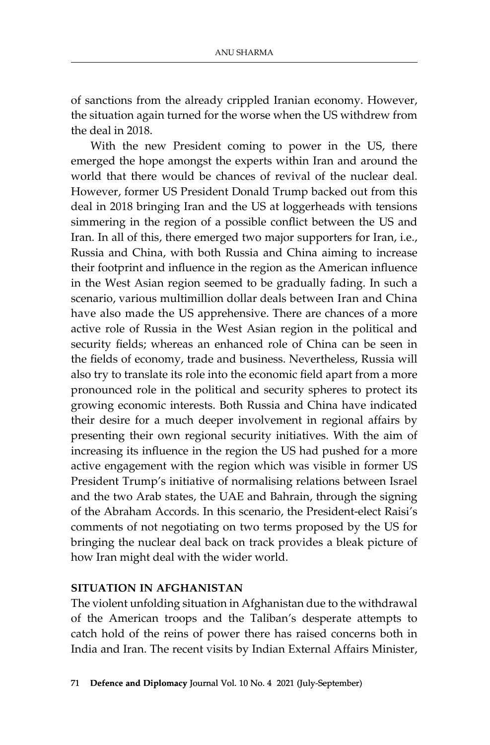of sanctions from the already crippled Iranian economy. However, the situation again turned for the worse when the US withdrew from the deal in 2018.

With the new President coming to power in the US, there emerged the hope amongst the experts within Iran and around the world that there would be chances of revival of the nuclear deal. However, former US President Donald Trump backed out from this deal in 2018 bringing Iran and the US at loggerheads with tensions simmering in the region of a possible conflict between the US and Iran. In all of this, there emerged two major supporters for Iran, i.e., Russia and China, with both Russia and China aiming to increase their footprint and influence in the region as the American influence in the West Asian region seemed to be gradually fading. In such a scenario, various multimillion dollar deals between Iran and China have also made the US apprehensive. There are chances of a more active role of Russia in the West Asian region in the political and security fields; whereas an enhanced role of China can be seen in the fields of economy, trade and business. Nevertheless, Russia will also try to translate its role into the economic field apart from a more pronounced role in the political and security spheres to protect its growing economic interests. Both Russia and China have indicated their desire for a much deeper involvement in regional affairs by presenting their own regional security initiatives. With the aim of increasing its influence in the region the US had pushed for a more active engagement with the region which was visible in former US President Trump's initiative of normalising relations between Israel and the two Arab states, the UAE and Bahrain, through the signing of the Abraham Accords. In this scenario, the President-elect Raisi's comments of not negotiating on two terms proposed by the US for bringing the nuclear deal back on track provides a bleak picture of how Iran might deal with the wider world.

### **Situation in Afghanistan**

The violent unfolding situation in Afghanistan due to the withdrawal of the American troops and the Taliban's desperate attempts to catch hold of the reins of power there has raised concerns both in India and Iran. The recent visits by Indian External Affairs Minister,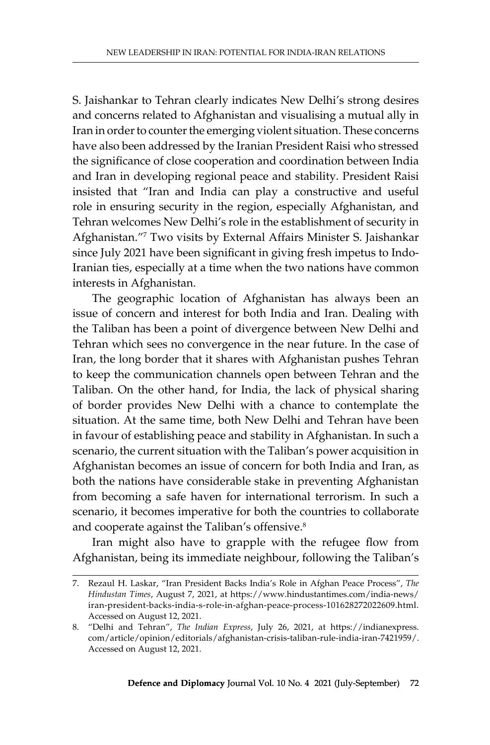S. Jaishankar to Tehran clearly indicates New Delhi's strong desires and concerns related to Afghanistan and visualising a mutual ally in Iran in order to counter the emerging violent situation. These concerns have also been addressed by the Iranian President Raisi who stressed the significance of close cooperation and coordination between India and Iran in developing regional peace and stability. President Raisi insisted that "Iran and India can play a constructive and useful role in ensuring security in the region, especially Afghanistan, and Tehran welcomes New Delhi's role in the establishment of security in Afghanistan."<sup>7</sup> Two visits by External Affairs Minister S. Jaishankar since July 2021 have been significant in giving fresh impetus to Indo-Iranian ties, especially at a time when the two nations have common interests in Afghanistan.

The geographic location of Afghanistan has always been an issue of concern and interest for both India and Iran. Dealing with the Taliban has been a point of divergence between New Delhi and Tehran which sees no convergence in the near future. In the case of Iran, the long border that it shares with Afghanistan pushes Tehran to keep the communication channels open between Tehran and the Taliban. On the other hand, for India, the lack of physical sharing of border provides New Delhi with a chance to contemplate the situation. At the same time, both New Delhi and Tehran have been in favour of establishing peace and stability in Afghanistan. In such a scenario, the current situation with the Taliban's power acquisition in Afghanistan becomes an issue of concern for both India and Iran, as both the nations have considerable stake in preventing Afghanistan from becoming a safe haven for international terrorism. In such a scenario, it becomes imperative for both the countries to collaborate and cooperate against the Taliban's offensive.8

Iran might also have to grapple with the refugee flow from Afghanistan, being its immediate neighbour, following the Taliban's

<sup>7.</sup> Rezaul H. Laskar, "Iran President Backs India's Role in Afghan Peace Process", *The Hindustan Times*, August 7, 2021, at https://www.hindustantimes.com/india-news/ iran-president-backs-india-s-role-in-afghan-peace-process-101628272022609.html. Accessed on August 12, 2021.

<sup>8.</sup> "Delhi and Tehran", *The Indian Express*, July 26, 2021, at https://indianexpress. com/article/opinion/editorials/afghanistan-crisis-taliban-rule-india-iran-7421959/. Accessed on August 12, 2021.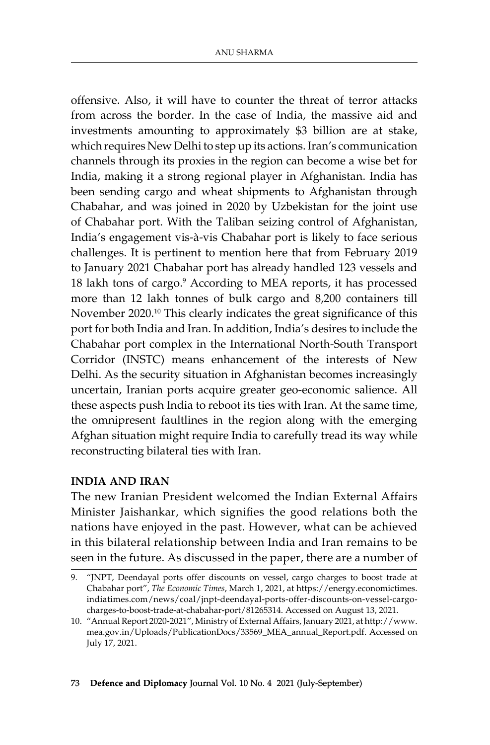offensive. Also, it will have to counter the threat of terror attacks from across the border. In the case of India, the massive aid and investments amounting to approximately \$3 billion are at stake, which requires New Delhi to step up its actions. Iran's communication channels through its proxies in the region can become a wise bet for India, making it a strong regional player in Afghanistan. India has been sending cargo and wheat shipments to Afghanistan through Chabahar, and was joined in 2020 by Uzbekistan for the joint use of Chabahar port. With the Taliban seizing control of Afghanistan, India's engagement vis-à-vis Chabahar port is likely to face serious challenges. It is pertinent to mention here that from February 2019 to January 2021 Chabahar port has already handled 123 vessels and 18 lakh tons of cargo.<sup>9</sup> According to MEA reports, it has processed more than 12 lakh tonnes of bulk cargo and 8,200 containers till November 2020.<sup>10</sup> This clearly indicates the great significance of this port for both India and Iran. In addition, India's desires to include the Chabahar port complex in the International North-South Transport Corridor (INSTC) means enhancement of the interests of New Delhi. As the security situation in Afghanistan becomes increasingly uncertain, Iranian ports acquire greater geo-economic salience. All these aspects push India to reboot its ties with Iran. At the same time, the omnipresent faultlines in the region along with the emerging Afghan situation might require India to carefully tread its way while reconstructing bilateral ties with Iran.

#### **India and Iran**

The new Iranian President welcomed the Indian External Affairs Minister Jaishankar, which signifies the good relations both the nations have enjoyed in the past. However, what can be achieved in this bilateral relationship between India and Iran remains to be seen in the future. As discussed in the paper, there are a number of

<sup>9.</sup> "JNPT, Deendayal ports offer discounts on vessel, cargo charges to boost trade at Chabahar port", *The Economic Times*, March 1, 2021, at https://energy.economictimes. indiatimes.com/news/coal/jnpt-deendayal-ports-offer-discounts-on-vessel-cargocharges-to-boost-trade-at-chabahar-port/81265314. Accessed on August 13, 2021.

<sup>10.</sup> "Annual Report 2020-2021", Ministry of External Affairs, January 2021, at http://www. mea.gov.in/Uploads/PublicationDocs/33569\_MEA\_annual\_Report.pdf. Accessed on July 17, 2021.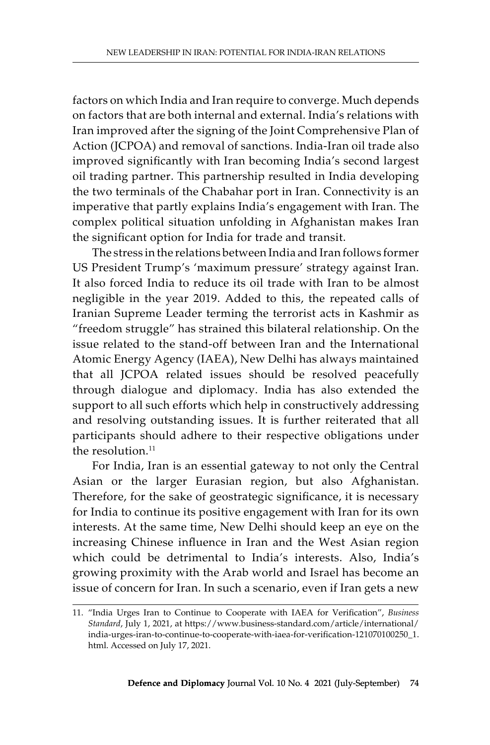factors on which India and Iran require to converge. Much depends on factors that are both internal and external. India's relations with Iran improved after the signing of the Joint Comprehensive Plan of Action (JCPOA) and removal of sanctions. India-Iran oil trade also improved significantly with Iran becoming India's second largest oil trading partner. This partnership resulted in India developing the two terminals of the Chabahar port in Iran. Connectivity is an imperative that partly explains India's engagement with Iran. The complex political situation unfolding in Afghanistan makes Iran the significant option for India for trade and transit.

The stress in the relations between India and Iran follows former US President Trump's 'maximum pressure' strategy against Iran. It also forced India to reduce its oil trade with Iran to be almost negligible in the year 2019. Added to this, the repeated calls of Iranian Supreme Leader terming the terrorist acts in Kashmir as "freedom struggle" has strained this bilateral relationship. On the issue related to the stand-off between Iran and the International Atomic Energy Agency (IAEA), New Delhi has always maintained that all JCPOA related issues should be resolved peacefully through dialogue and diplomacy. India has also extended the support to all such efforts which help in constructively addressing and resolving outstanding issues. It is further reiterated that all participants should adhere to their respective obligations under the resolution.<sup>11</sup>

For India, Iran is an essential gateway to not only the Central Asian or the larger Eurasian region, but also Afghanistan. Therefore, for the sake of geostrategic significance, it is necessary for India to continue its positive engagement with Iran for its own interests. At the same time, New Delhi should keep an eye on the increasing Chinese influence in Iran and the West Asian region which could be detrimental to India's interests. Also, India's growing proximity with the Arab world and Israel has become an issue of concern for Iran. In such a scenario, even if Iran gets a new

<sup>11.</sup> "India Urges Iran to Continue to Cooperate with IAEA for Verification", *Business Standard*, July 1, 2021, at https://www.business-standard.com/article/international/ india-urges-iran-to-continue-to-cooperate-with-iaea-for-verification-121070100250\_1. html. Accessed on July 17, 2021.